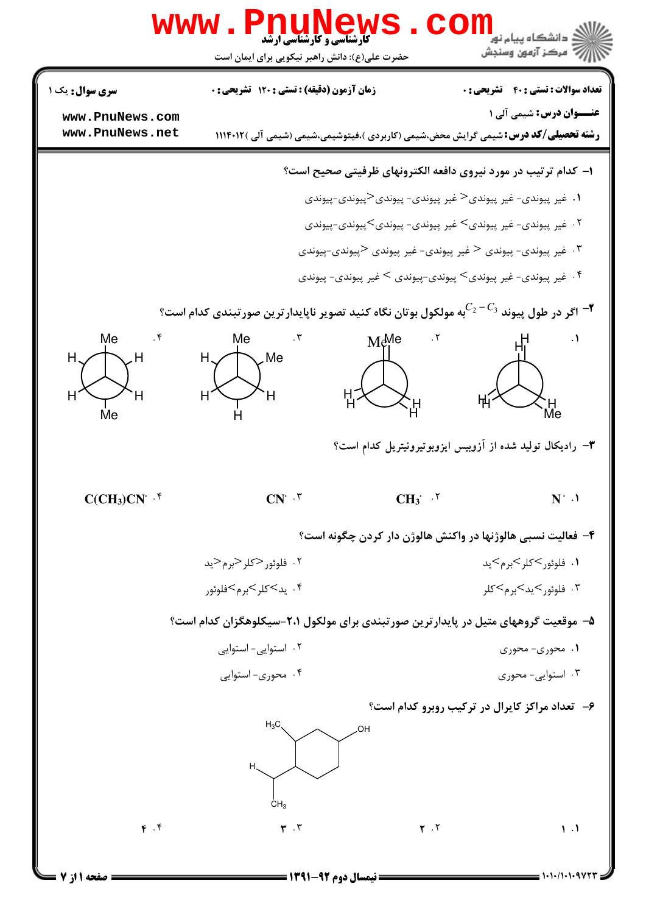

**: نیمسال دوم ۹۲-۱۳۹۱ =** 

صفحه 1 از 7 =

 $= 1.1.11.1.9 VTT$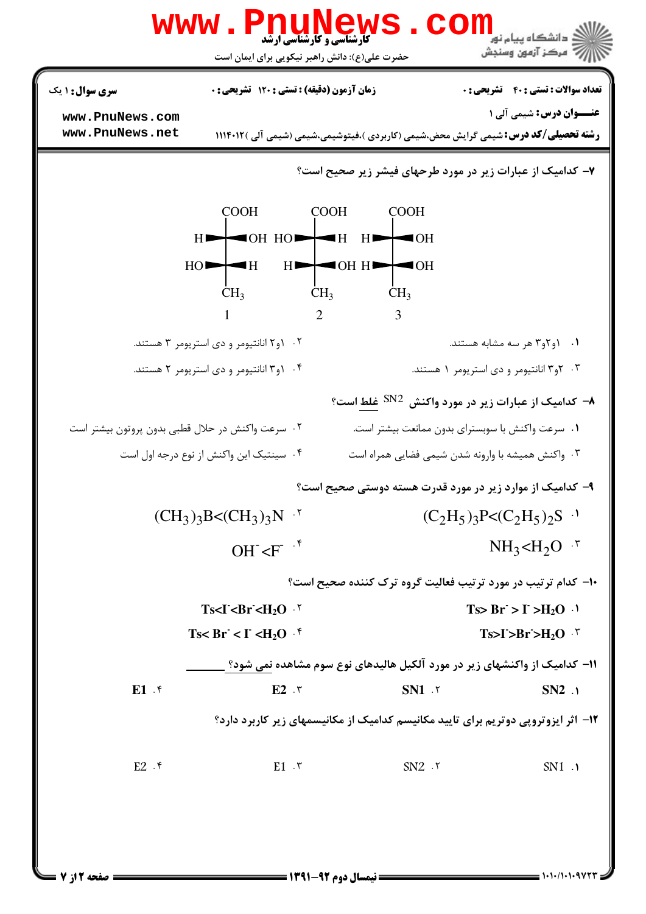| <b>سری سوال : ۱ یک</b>                           | زمان آزمون (دقیقه) : تستی : 120 تشریحی : 0                |                | <b>تعداد سوالات : تستی : 40 - تشریحی : 0</b>                                                                                   |
|--------------------------------------------------|-----------------------------------------------------------|----------------|--------------------------------------------------------------------------------------------------------------------------------|
| www.PnuNews.com<br>www.PnuNews.net               |                                                           |                | <b>عنـــوان درس:</b> شیمی آلی ۱<br><b>رشته تحصیلی/کد درس:</b> شیمی گرایش محض،شیمی (کاربردی )،فیتوشیمی،شیمی (شیمی آلی )۱۱۴۰۱۲ ( |
|                                                  |                                                           |                | ۷- کدامیک از عبارات زیر در مورد طرحهای فیشر زیر صحیح است؟                                                                      |
|                                                  | COOH COOH COOH                                            |                |                                                                                                                                |
|                                                  | $H \rightarrow$ OH HO $\rightarrow$ H H $\rightarrow$ OH  |                |                                                                                                                                |
|                                                  | $HO$ $H$ $H$ $H$ $H$ $H$                                  |                |                                                                                                                                |
|                                                  | $CH_3$ $CH_3$ $CH_3$                                      |                |                                                                                                                                |
|                                                  | $1$ 2 3                                                   |                |                                                                                                                                |
|                                                  | ۰۲ و ۲ انانتیومر و دی استریومر ۳ هستند.                   |                | ۰۱ ـ ۱و۲و۳ هر سه مشابه هستند.                                                                                                  |
|                                                  | ۰۴ (و۳ انانتیومر و دی استریومر ۲ هستند.                   |                | ۰۳ و۳ انانتیومر و دی استریومر ۱ هستند.                                                                                         |
|                                                  |                                                           |                | ۸− کدامیک از عبارات زیر در مورد واکنش <sup>SN2</sup> غ <u>لط</u> است؟                                                          |
| ۰۲ سرعت واکنش در حلال قطبی بدون پروتون بیشتر است |                                                           |                | ٠١ سرعت واكنش با سوبستراى بدون ممانعت بيشتر است.                                                                               |
|                                                  | ۰۴ سینتیک این واکنش از نوع درجه اول است                   |                | ۰۳ واکنش همیشه با وارونه شدن شیمی فضایی همراه است                                                                              |
|                                                  |                                                           |                | ۹- کدامیک از موارد زیر در مورد قدرت هسته دوستی صحیح است؟                                                                       |
|                                                  | $(CH_3)_3B < (CH_3)_3N$ '                                 |                | $(C_2H_5)_3P \leq (C_2H_5)_2S$ <sup>.1</sup>                                                                                   |
|                                                  | OH $\overline{F}$ $\overline{F}$ $\overline{F}$           |                | $NH_3CH_2O$ $\cdot$                                                                                                            |
|                                                  |                                                           |                | <b>۱۰- کدام ترتیب در مورد ترتیب فعالیت گروه ترک کننده صحیح است؟</b>                                                            |
|                                                  | $Ts < I < Br < H2O$ '                                     |                | $Ts > Br > I > H2O$ .                                                                                                          |
|                                                  | Ts< Br < $\leq$ I < H <sub>2</sub> O $\cdot$ <sup>6</sup> |                | $Ts > I > Br > H2O$ $\cdot$                                                                                                    |
|                                                  |                                                           |                | ۱۱– کدامیک از واکنشهای زیر در مورد آلکیل هالیدهای نوع سوم مشاهده نمی شود؟ <u>.</u>                                             |
| $E1$ . $\zeta$                                   | $E2 \cdot r$                                              | $SN1$ . $\tau$ | $SN2$ .                                                                                                                        |
|                                                  |                                                           |                | ۱۲- اثر ایزوتروپی دوتریم برای تایید مکانیسم کدامیک از مکانیسمهای زیر کاربرد دارد؟                                              |
| $E2$ . ۴                                         | $E1 \cdot r$                                              | $SN2$ $.7$     | SN1 .1                                                                                                                         |
|                                                  |                                                           |                |                                                                                                                                |
|                                                  |                                                           |                |                                                                                                                                |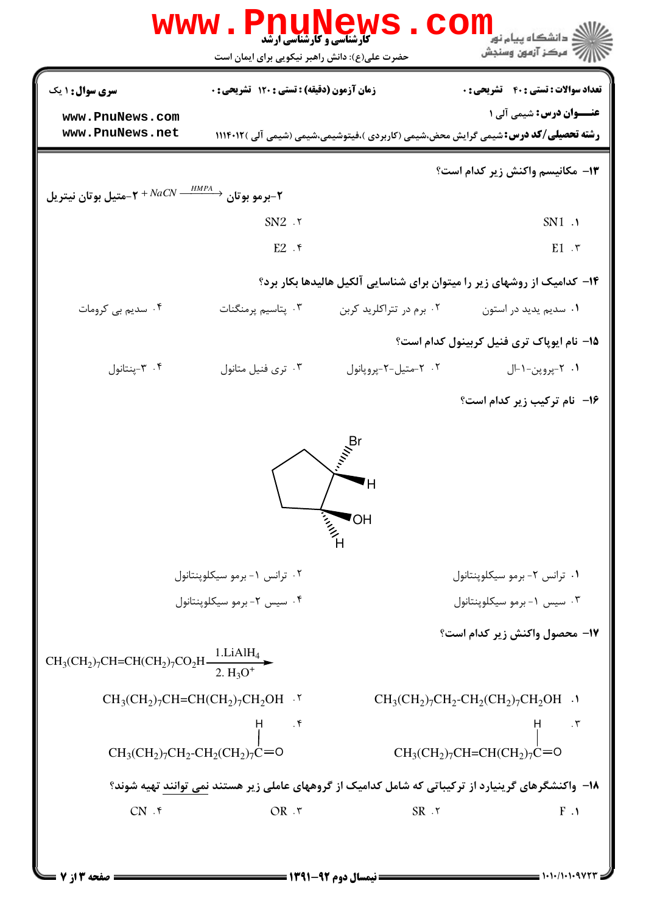|                                                                                    | <b>www.PnuNews</b><br><b>کارشناسی و کارشناسی ارشد</b> | CO                                     | .<br>د دانشگاه پيام نو <mark>ر</mark>                                                                                         |
|------------------------------------------------------------------------------------|-------------------------------------------------------|----------------------------------------|-------------------------------------------------------------------------------------------------------------------------------|
|                                                                                    | حضرت علی(ع): دانش راهبر نیکویی برای ایمان است         |                                        | ر آمرڪز آزمون وسنڊش                                                                                                           |
| سری سوال : ۱ یک                                                                    | <b>زمان آزمون (دقیقه) : تستی : 120 تشریحی : 0</b>     |                                        | <b>تعداد سوالات : تستی : 40 قشریحی : 0</b>                                                                                    |
| www.PnuNews.com<br>www.PnuNews.net                                                 |                                                       |                                        | <b>عنــوان درس:</b> شیمی آلی ۱<br><b>رشته تحصیلی/کد درس:</b> شیمی گرایش محض،شیمی (کاربردی )،فیتوشیمی،شیمی (شیمی آلی )۱۱۴۰۱۲ ( |
|                                                                                    |                                                       |                                        | <b>۱۳</b> مکانیسم واکنش زیر کدام است؟                                                                                         |
| -برمو بوتان $\rightarrow e^{HMPA} \rightarrow + N$ متيل بوتان نيتريل $\rightarrow$ |                                                       |                                        |                                                                                                                               |
|                                                                                    | $SN2$ $.7$                                            |                                        | $SN1$ .                                                                                                                       |
|                                                                                    | $E2$ $\cdot$                                          |                                        | $E1 \cdot r$                                                                                                                  |
|                                                                                    |                                                       |                                        | ۱۴- کدامیک از روشهای زیر را میتوان برای شناسایی آلکیل هالیدها بکار برد؟                                                       |
| ۰۴ سدیم بی کرومات                                                                  | ۰۳ پتاسیم پرمنگنات                                    | ۰۲ برم در تتراکلريد کربن               | ۰۱ سدیم یدید در استون                                                                                                         |
|                                                                                    |                                                       |                                        | 1۵– نام ایوپاک تری فنیل کربینول کدام است؟                                                                                     |
| ۰۴ - پنتانول                                                                       | ۰۳ تری فنیل متانول                                    | ۰۲ - متيل-۲-پروپانول                   | ۰۱ - ۳پروپن-۱-ال                                                                                                              |
|                                                                                    |                                                       |                                        | ۱۶- نام ترکیب زیر کدام است؟                                                                                                   |
|                                                                                    |                                                       | ΟH                                     |                                                                                                                               |
|                                                                                    |                                                       | in 11 p                                |                                                                                                                               |
|                                                                                    | ۰۲ ترانس ۱-برمو سیکلوپنتانول                          |                                        | ۰۱ ترانس ۲- برمو سیکلوپنتانول                                                                                                 |
|                                                                                    | ۰۴ سیس ۲- برمو سیکلوپنتانول                           |                                        | ۰۳ سیس ۱-برمو سیکلوینتانول                                                                                                    |
| $CH_3(CH_2)_7CH=CH(CH_2)_7CO_2H \frac{1.LiAlH_4}{2.H_3O^+}$                        |                                                       |                                        | 17- محصول واكنش زير كدام است؟                                                                                                 |
|                                                                                    | $CH_3(CH_2)_7CH=CH(CH_2)_7CH_2OH$ .                   |                                        | $CH_3(CH_2)_7CH_2\text{-}CH_2(CH_2)_7CH_2OH$ .                                                                                |
|                                                                                    |                                                       |                                        |                                                                                                                               |
| $CH_3(CH_2)_7CH_2\text{-}CH_2(CH_2)_7C=0$                                          |                                                       |                                        | $CH3(CH2)7CH=CH(CH2)7C=0$                                                                                                     |
|                                                                                    |                                                       |                                        | ۱۸– واکنشگرهای گرینیارد از ترکیباتی که شامل کدامیک از گروههای عاملی زیر هستند نمی توانند تهیه شوند؟                           |
| CN.                                                                                | OR.7                                                  | $SR \cdot 7$                           | $F \cdot 1$                                                                                                                   |
| صفحه ۱۳: '                                                                         |                                                       | <b>ـــ نیمسال دوم ۹۲-۱۳۹۱ ــــــــ</b> |                                                                                                                               |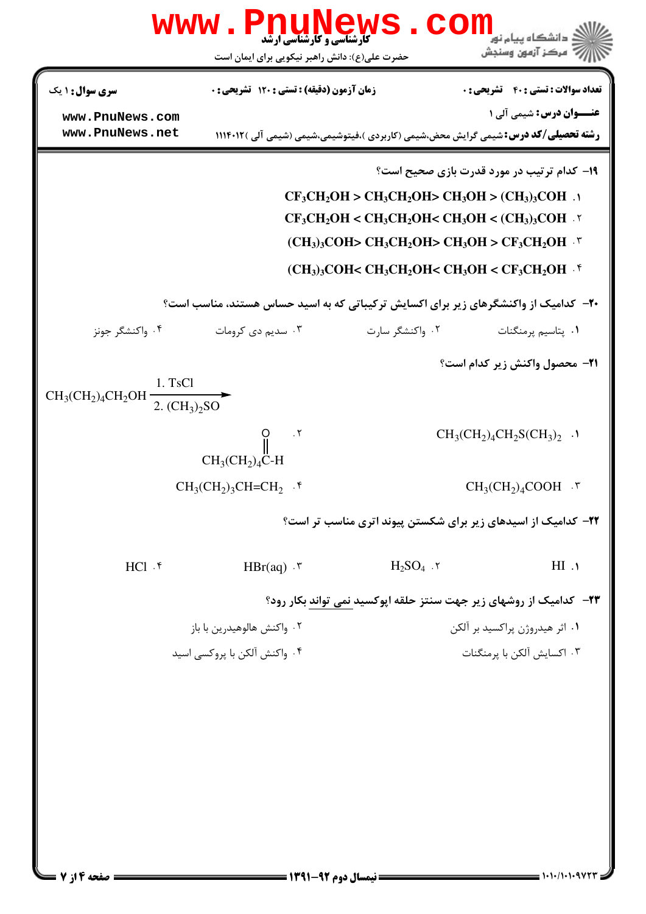|                                                              | <b>کارشناسی و کارشناسی ارشد</b><br>حضرت علی(ع): دانش راهبر نیکویی برای ایمان است |                                                                                                                                                                                                                                 | مركز آزمون وسنجش                                  |
|--------------------------------------------------------------|----------------------------------------------------------------------------------|---------------------------------------------------------------------------------------------------------------------------------------------------------------------------------------------------------------------------------|---------------------------------------------------|
| <b>سری سوال : ۱ یک</b>                                       | زمان آزمون (دقیقه) : تستی : 120 تشریحی : 0                                       |                                                                                                                                                                                                                                 | <b>تعداد سوالات : تستي : 40 ٪ تشريحي : 0</b>      |
| www.PnuNews.com<br>www.PnuNews.net                           |                                                                                  | <b>رشته تحصیلی/کد درس:</b> شیمی گرایش محض،شیمی (کاربردی )،فیتوشیمی،شیمی (شیمی آلی )۱۱۱۴۰۱۲                                                                                                                                      | <b>عنـــوان درس:</b> شیمی آلی ۱                   |
|                                                              |                                                                                  | $CF_3CH_2OH > CH_3CH_2OH > CH_3OH > (CH_3)_3COH$ .<br>$CF_3CH_2OH < CH_3CH_2OH < CH_3OH < (CH_3)_3COH$ .<br>$(CH_3)_3COH > CH_3CH_2OH > CH_3OH > CF_3CH_2OH$ .<br>$(CH_3)_3COH < CH_3CH_2OH < CH_3OH < CF_3CH_2OH$ . $\uparrow$ | <b>۱۹- کدام ترتیب در مورد قدرت بازی صحیح است؟</b> |
|                                                              |                                                                                  | <b>۲۰</b> - کدامیک از واکنشگرهای زیر برای اکسایش ترکیباتی که به اسید حساس هستند، مناسب است؟                                                                                                                                     |                                                   |
| ۰۴ واکنشگر جونز                                              | ۰۳ سدیم دی کرومات                                                                | ۰۲ واکنشگر سارت                                                                                                                                                                                                                 | ۰۱ پتاسیم پرمنگنات                                |
| 1. TsCl<br>$CH_3(CH_2)_4CH_2OH \xrightarrow{2. (CH_3)_2 SO}$ |                                                                                  |                                                                                                                                                                                                                                 | <b>21- محصول واکنش زیر کدام است؟</b>              |
|                                                              | $\cdot$ $\cdot$ $\cdot$<br>$CH3(CH2)4C-H$                                        |                                                                                                                                                                                                                                 | $CH_3CH_2)_4CH_2SCH_3)_2$ .                       |
|                                                              | $CH_3CH_2$ <sub>3</sub> CH=CH <sub>2</sub> $\cdot$ <sup>6</sup>                  |                                                                                                                                                                                                                                 | $CH_3(CH_2)_4COOH$ .                              |
|                                                              |                                                                                  | ۲۲- کدامیک از اسیدهای زیر برای شکستن پیوند اتری مناسب تر است؟                                                                                                                                                                   |                                                   |
| $HCl.$ $\mathfrak{f}$                                        | $HBr(aq) \cdot$                                                                  | $H_2SO_4$ . $\mathbf{r}$                                                                                                                                                                                                        | H1.1                                              |
|                                                              |                                                                                  | ۲۳- کدامیک از روشهای زیر جهت سنتز حلقه اپوکسید نمی تواند بکار رود؟                                                                                                                                                              |                                                   |
|                                                              | ۰۲ واکنش هالوهیدرین با باز                                                       |                                                                                                                                                                                                                                 | ۰۱ اثر هیدروژن پراکسید بر آلکن                    |
|                                                              | ۰۴ واکنش آلکن با پروکسی اسید                                                     |                                                                                                                                                                                                                                 | ۰۳ اکسایش آلکن با پرمنگنات                        |
| = صفحه ۱۴; 7                                                 |                                                                                  | == نیمسال دوم ۹۲-۱۳۹۱ =                                                                                                                                                                                                         |                                                   |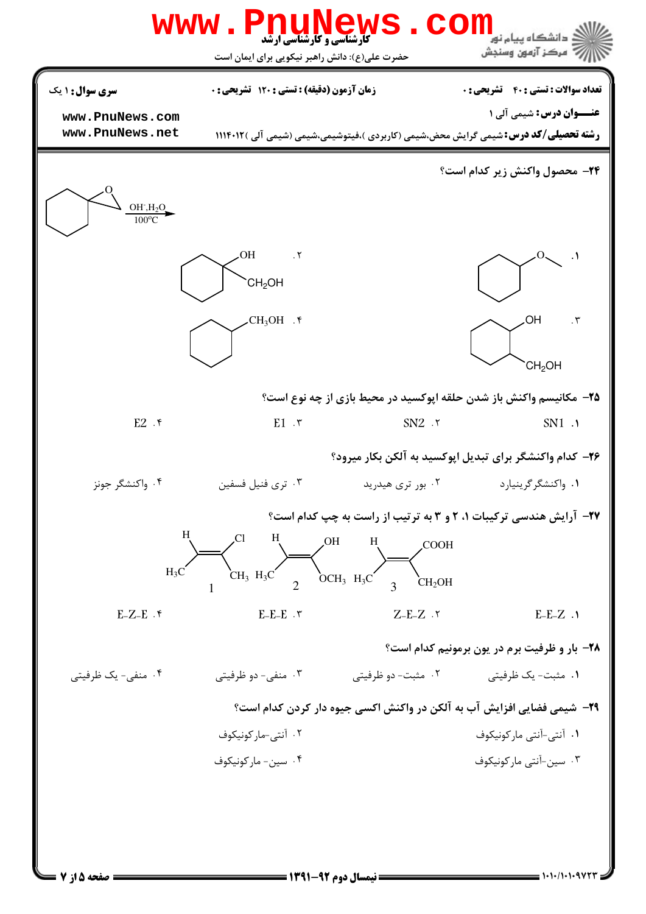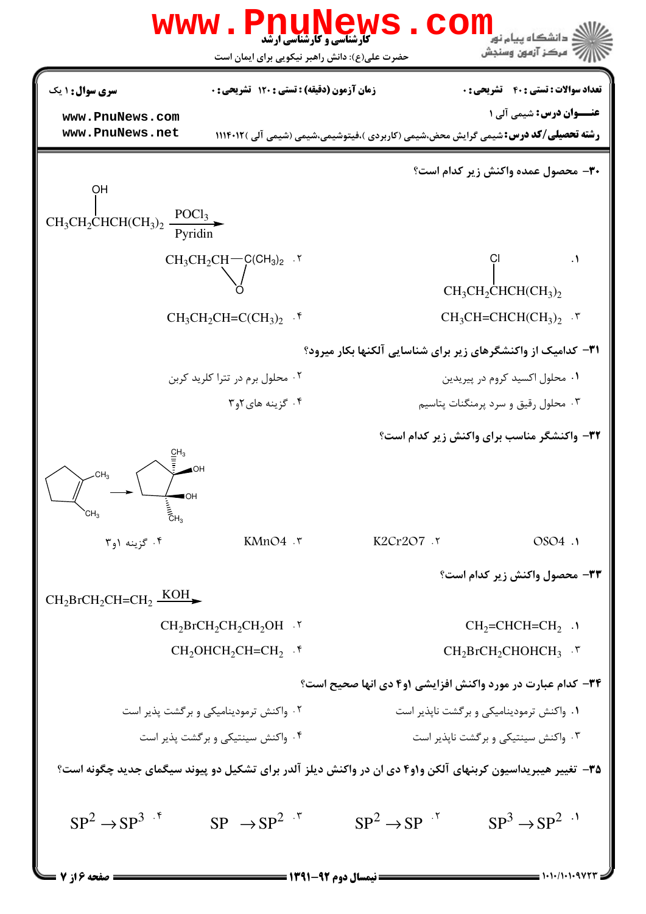|                                                                              | <b>www.PnuNews</b><br><b>کارشناسی و کارشناسی ارشد</b>                                                       |                            | . دانشگاه پیام نو <mark>ر</mark><br>" مرڪز آزمون وسنڊش                                                                         |
|------------------------------------------------------------------------------|-------------------------------------------------------------------------------------------------------------|----------------------------|--------------------------------------------------------------------------------------------------------------------------------|
|                                                                              | حضرت علی(ع): دانش راهبر نیکویی برای ایمان است                                                               |                            |                                                                                                                                |
| <b>سری سوال : ۱ یک</b>                                                       | <b>زمان آزمون (دقیقه) : تستی : 120 تشریحی: 0</b>                                                            |                            | <b>تعداد سوالات : تستی : 40 - تشریحی : 0</b>                                                                                   |
| www.PnuNews.com<br>www.PnuNews.net                                           |                                                                                                             |                            | <b>عنـــوان درس:</b> شیمی آلی ۱<br><b>رشته تحصیلی/کد درس:</b> شیمی گرایش محض،شیمی (کاربردی )،فیتوشیمی،شیمی (شیمی آلی )۱۱۴۰۱۲ ( |
|                                                                              |                                                                                                             |                            |                                                                                                                                |
| OН                                                                           |                                                                                                             |                            | <b>٣٠</b> - محصول عمده واكنش زير كدام است؟                                                                                     |
| $CH_3CH_2CHCH(CH_3)_2 \frac{POCl_3}{Pyridin}$                                |                                                                                                             |                            |                                                                                                                                |
|                                                                              | $CH_3CH_2CH$ $\rightarrow$ $CH_3O_2$ .                                                                      |                            | $\cdot$                                                                                                                        |
|                                                                              |                                                                                                             |                            | $CH_3CH_2CHCH(CH_3)$                                                                                                           |
|                                                                              | $CH_3CH_2CH=C(CH_3)$ . $\uparrow$                                                                           |                            | $CH_3CH=CHCH(CH_3)_2$ .                                                                                                        |
|                                                                              |                                                                                                             |                            | <b>۳۱</b> - کدامیک از واکنشگرهای زیر برای شناسایی آلکنها بکار میرود؟                                                           |
|                                                                              | ۰۲ محلول برم در تترا کلرید کربن                                                                             |                            | ۰۱ محلول اکسید کروم در پیریدین                                                                                                 |
|                                                                              | ۰۴ گزینه های ۲و۳                                                                                            |                            | ۰۳ محلول رقیق و سرد پرمنگنات پتاسیم                                                                                            |
|                                                                              |                                                                                                             |                            | 32- واکنشگر مناسب برای واکنش زیر کدام است؟                                                                                     |
| CH <sub>3</sub><br>$\blacksquare$<br>E<br>EH <sub>3</sub><br>CH <sub>3</sub> | KMnO4.7                                                                                                     | K2Cr2O7 .٢                 | OSO4 .1                                                                                                                        |
| ۰۴ گزینه ۱و۳                                                                 |                                                                                                             |                            |                                                                                                                                |
| $CH_2BrCH_2CH=CH_2 \frac{KOH}{}$                                             |                                                                                                             |                            | 33- محصول واكنش زير كدام است؟                                                                                                  |
|                                                                              | $CH_2BrCH_2CH_2CH_2OH$ .                                                                                    |                            | $CH2=CHCH=CH2$ .                                                                                                               |
|                                                                              | $CH2OHCH2CH=CH2$ .*                                                                                         |                            | $CH2BrCH2CHOHCH3$ .                                                                                                            |
|                                                                              |                                                                                                             |                            | 34- کدام عبارت در مورد واکنش افزایشی ۱و۴ دی انها صحیح است؟                                                                     |
|                                                                              | ۰۲ واکنش ترمودینامیکی و برگشت پذیر است                                                                      |                            | ۰۱ واکنش ترمودینامیکی و بر گشت ناپذیر است                                                                                      |
|                                                                              | ۰۴ واکنش سینتیکی و بر گشت پذیر است                                                                          |                            | ۰۳ واکنش سینتیکی و بر گشت ناپذیر است                                                                                           |
|                                                                              | ۳۵– تغییر هیبریداسیون کربنهای آلکن و۱و۴ دی ان در واکنش دیلز آلدر برای تشکیل دو پیوند سیگمای جدید چگونه است؟ |                            |                                                                                                                                |
| $SP^2 \rightarrow SP^{3}$ .*                                                 | $SP \rightarrow SP^2$ <sup>"</sup>                                                                          | $SP^2 \rightarrow SP^{-1}$ | $SP^3 \rightarrow SP^{2}$                                                                                                      |
| <b>= صفحه ۱۶ 7</b>                                                           | ــــــــ نیمسال دوم ۹۲-۱۳۹۱ ـــــــــ                                                                       |                            |                                                                                                                                |